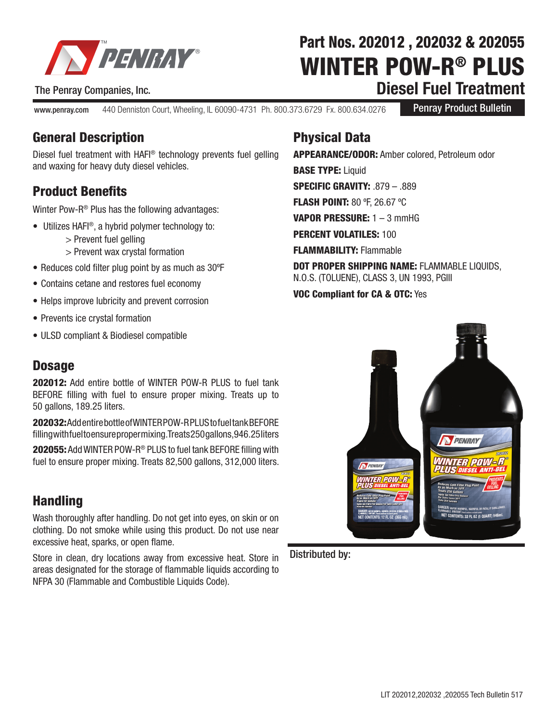

The Penray Companies, Inc.

WINTER POW-R® PLUS **Diesel Fuel Treatment** Part Nos. 202012 , 202032 & 202055

www.penray.com 440 Denniston Court, Wheeling, IL 60090-4731 Ph. 800.373.6729 Fx. 800.634.0276

Penray Product Bulletin

#### General Description

Diesel fuel treatment with HAFI® technology prevents fuel gelling and waxing for heavy duty diesel vehicles.

## Product Benefits

Winter Pow-R® Plus has the following advantages:

- Utilizes HAFI®, a hybrid polymer technology to:
	- > Prevent fuel gelling
	- > Prevent wax crystal formation
- Reduces cold filter plug point by as much as 30ºF
- Contains cetane and restores fuel economy
- Helps improve lubricity and prevent corrosion
- Prevents ice crystal formation
- ULSD compliant & Biodiesel compatible

#### **Dosage**

202012: Add entire bottle of WINTER POW-R PLUS to fuel tank BEFORE filling with fuel to ensure proper mixing. Treats up to 50 gallons, 189.25 liters.

202032: Add entire bottle of WINTER POW-R PLUS to fuel tank BEFORE filling with fuel to ensure proper mixing. Treats 250 gallons, 946.25 liters

202055: Add WINTER POW-R® PLUS to fuel tank BEFORE filling with fuel to ensure proper mixing. Treats 82,500 gallons, 312,000 liters.

### **Handling**

Wash thoroughly after handling. Do not get into eyes, on skin or on clothing. Do not smoke while using this product. Do not use near excessive heat, sparks, or open flame.

Store in clean, dry locations away from excessive heat. Store in areas designated for the storage of flammable liquids according to NFPA 30 (Flammable and Combustible Liquids Code).

## Physical Data

APPEARANCE/ODOR: Amber colored, Petroleum odor **BASE TYPE: Liquid** SPECIFIC GRAVITY: .879 – .889 FLASH POINT: 80 ºF, 26.67 ºC VAPOR PRESSURE: 1 - 3 mmHG PERCENT VOLATILES: 100 FLAMMABILITY: Flammable DOT PROPER SHIPPING NAME: FLAMMABLE LIQUIDS,

N.O.S. (TOLUENE), CLASS 3, UN 1993, PGIII

VOC Compliant for CA & OTC: Yes